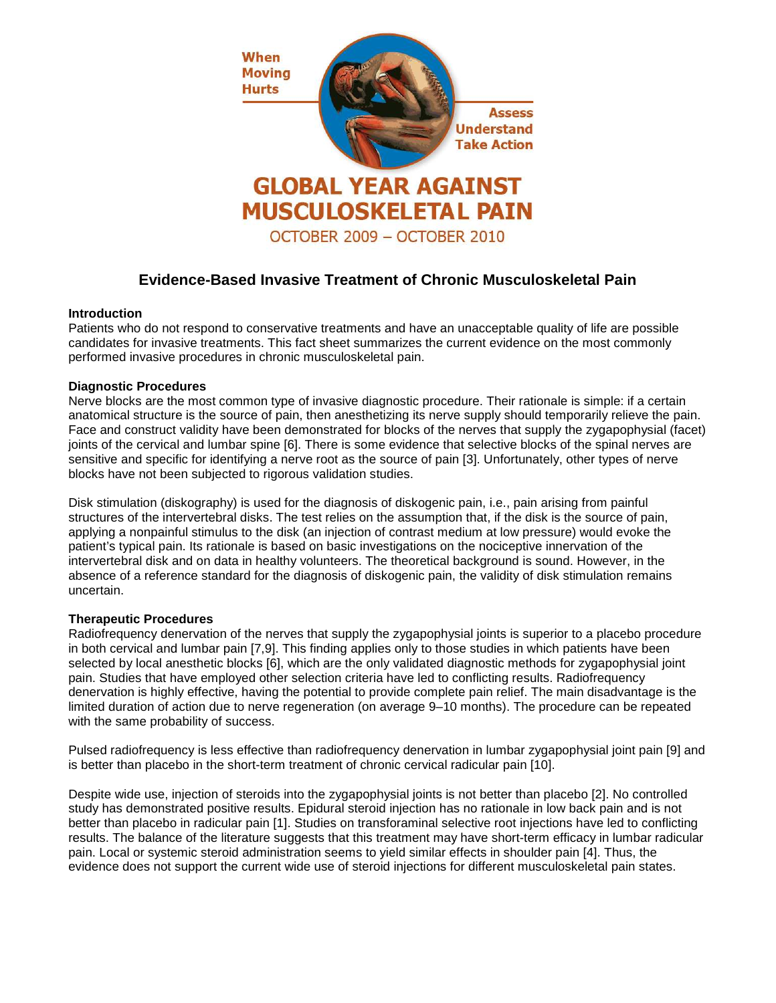

# **Evidence-Based Invasive Treatment of Chronic Musculoskeletal Pain**

## **Introduction**

Patients who do not respond to conservative treatments and have an unacceptable quality of life are possible candidates for invasive treatments. This fact sheet summarizes the current evidence on the most commonly performed invasive procedures in chronic musculoskeletal pain.

## **Diagnostic Procedures**

Nerve blocks are the most common type of invasive diagnostic procedure. Their rationale is simple: if a certain anatomical structure is the source of pain, then anesthetizing its nerve supply should temporarily relieve the pain. Face and construct validity have been demonstrated for blocks of the nerves that supply the zygapophysial (facet) joints of the cervical and lumbar spine [6]. There is some evidence that selective blocks of the spinal nerves are sensitive and specific for identifying a nerve root as the source of pain [3]. Unfortunately, other types of nerve blocks have not been subjected to rigorous validation studies.

Disk stimulation (diskography) is used for the diagnosis of diskogenic pain, i.e., pain arising from painful structures of the intervertebral disks. The test relies on the assumption that, if the disk is the source of pain, applying a nonpainful stimulus to the disk (an injection of contrast medium at low pressure) would evoke the patient's typical pain. Its rationale is based on basic investigations on the nociceptive innervation of the intervertebral disk and on data in healthy volunteers. The theoretical background is sound. However, in the absence of a reference standard for the diagnosis of diskogenic pain, the validity of disk stimulation remains uncertain.

## **Therapeutic Procedures**

Radiofrequency denervation of the nerves that supply the zygapophysial joints is superior to a placebo procedure in both cervical and lumbar pain [7,9]. This finding applies only to those studies in which patients have been selected by local anesthetic blocks [6], which are the only validated diagnostic methods for zygapophysial joint pain. Studies that have employed other selection criteria have led to conflicting results. Radiofrequency denervation is highly effective, having the potential to provide complete pain relief. The main disadvantage is the limited duration of action due to nerve regeneration (on average 9–10 months). The procedure can be repeated with the same probability of success.

Pulsed radiofrequency is less effective than radiofrequency denervation in lumbar zygapophysial joint pain [9] and is better than placebo in the short-term treatment of chronic cervical radicular pain [10].

Despite wide use, injection of steroids into the zygapophysial joints is not better than placebo [2]. No controlled study has demonstrated positive results. Epidural steroid injection has no rationale in low back pain and is not better than placebo in radicular pain [1]. Studies on transforaminal selective root injections have led to conflicting results. The balance of the literature suggests that this treatment may have short-term efficacy in lumbar radicular pain. Local or systemic steroid administration seems to yield similar effects in shoulder pain [4]. Thus, the evidence does not support the current wide use of steroid injections for different musculoskeletal pain states.